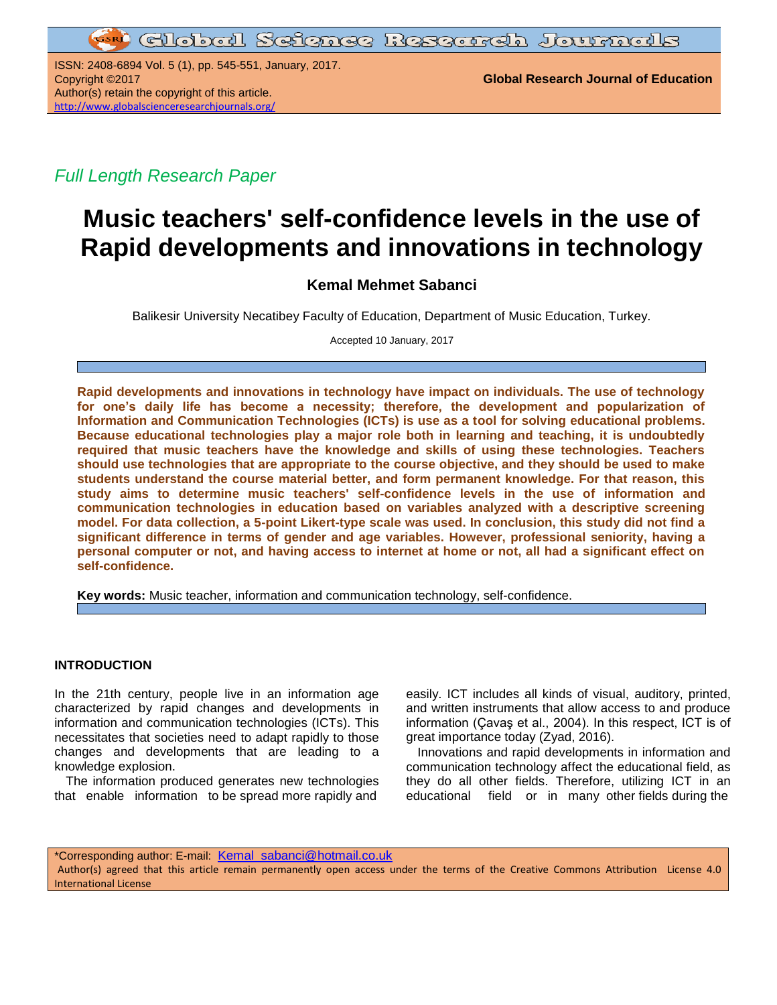**GIobal Science Research Journals** 

ISSN: 2408-6894 Vol. 5 (1), pp. 545-551, January, 2017. Copyright ©2017 **Global Research Journal of Education** Author(s) retain the copyright of this article. <http://www.globalscienceresearchjournals.org/>

*Full Length Research Paper*

# **Music teachers' self-confidence levels in the use of Rapid developments and innovations in technology**

## **Kemal Mehmet Sabanci**

Balikesir University Necatibey Faculty of Education, Department of Music Education, Turkey.

Accepted 10 January, 2017

**Rapid developments and innovations in technology have impact on individuals. The use of technology for one's daily life has become a necessity; therefore, the development and popularization of Information and Communication Technologies (ICTs) is use as a tool for solving educational problems. Because educational technologies play a major role both in learning and teaching, it is undoubtedly required that music teachers have the knowledge and skills of using these technologies. Teachers should use technologies that are appropriate to the course objective, and they should be used to make students understand the course material better, and form permanent knowledge. For that reason, this study aims to determine music teachers' self-confidence levels in the use of information and communication technologies in education based on variables analyzed with a descriptive screening model. For data collection, a 5-point Likert-type scale was used. In conclusion, this study did not find a significant difference in terms of gender and age variables. However, professional seniority, having a personal computer or not, and having access to internet at home or not, all had a significant effect on self-confidence.**

**Key words:** Music teacher, information and communication technology, self-confidence.

## **INTRODUCTION**

In the 21th century, people live in an information age characterized by rapid changes and developments in information and communication technologies (ICTs). This necessitates that societies need to adapt rapidly to those changes and developments that are leading to a knowledge explosion.

The information produced generates new technologies that enable information to be spread more rapidly and easily. ICT includes all kinds of visual, auditory, printed, and written instruments that allow access to and produce information (Çavaş et al., 2004). In this respect, ICT is of great importance today (Zyad, 2016).

Innovations and rapid developments in information and communication technology affect the educational field, as they do all other fields. Therefore, utilizing ICT in an educational field or in many other fields during the

\*Corresponding author: E-mail: [Kemal\\_sabanci@hotmail.co.uk](mailto:Kemal_sabanci@hotmail.co.uk)

Author(s) agreed that this article remain permanently open access under the terms of the Creative Commons Attribution License 4.0 International License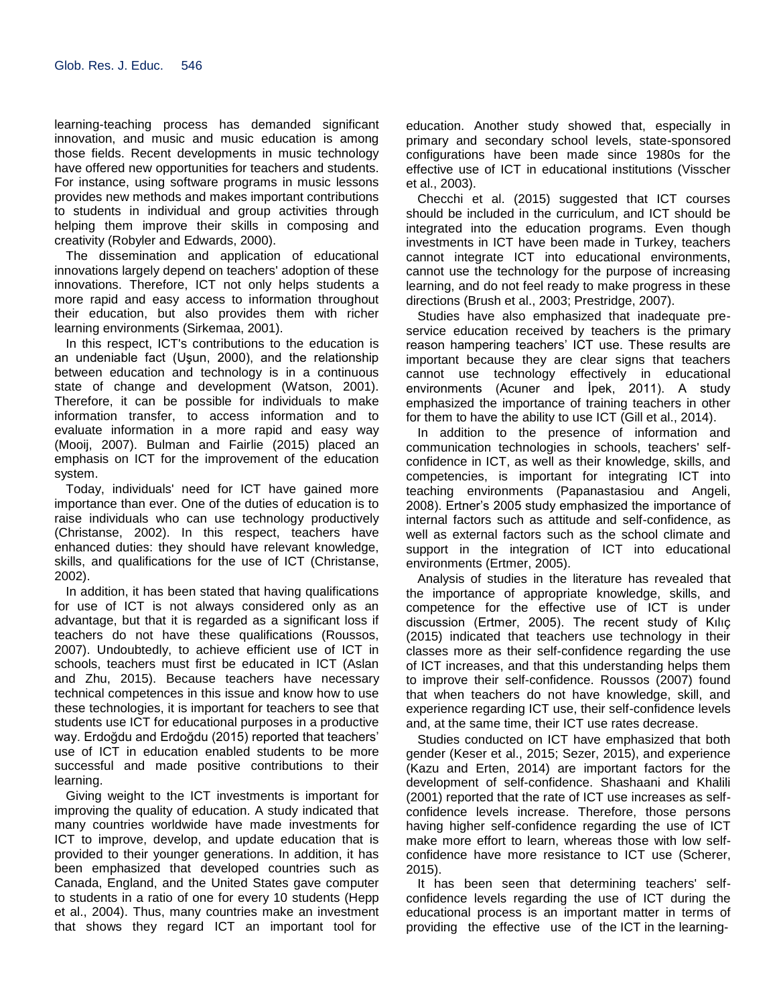learning-teaching process has demanded significant innovation, and music and music education is among those fields. Recent developments in music technology have offered new opportunities for teachers and students. For instance, using software programs in music lessons provides new methods and makes important contributions to students in individual and group activities through helping them improve their skills in composing and creativity (Robyler and Edwards, 2000).

The dissemination and application of educational innovations largely depend on teachers' adoption of these innovations. Therefore, ICT not only helps students a more rapid and easy access to information throughout their education, but also provides them with richer learning environments (Sirkemaa, 2001).

In this respect, ICT's contributions to the education is an undeniable fact (Uşun, 2000), and the relationship between education and technology is in a continuous state of change and development (Watson, 2001). Therefore, it can be possible for individuals to make information transfer, to access information and to evaluate information in a more rapid and easy way (Mooij, 2007). Bulman and Fairlie (2015) placed an emphasis on ICT for the improvement of the education system.

Today, individuals' need for ICT have gained more importance than ever. One of the duties of education is to raise individuals who can use technology productively (Christanse, 2002). In this respect, teachers have enhanced duties: they should have relevant knowledge, skills, and qualifications for the use of ICT (Christanse, 2002).

In addition, it has been stated that having qualifications for use of ICT is not always considered only as an advantage, but that it is regarded as a significant loss if teachers do not have these qualifications (Roussos, 2007). Undoubtedly, to achieve efficient use of ICT in schools, teachers must first be educated in ICT (Aslan and Zhu, 2015). Because teachers have necessary technical competences in this issue and know how to use these technologies, it is important for teachers to see that students use ICT for educational purposes in a productive way. Erdoğdu and Erdoğdu (2015) reported that teachers' use of ICT in education enabled students to be more successful and made positive contributions to their learning.

Giving weight to the ICT investments is important for improving the quality of education. A study indicated that many countries worldwide have made investments for ICT to improve, develop, and update education that is provided to their younger generations. In addition, it has been emphasized that developed countries such as Canada, England, and the United States gave computer to students in a ratio of one for every 10 students (Hepp et al., 2004). Thus, many countries make an investment that shows they regard ICT an important tool for

education. Another study showed that, especially in primary and secondary school levels, state-sponsored configurations have been made since 1980s for the effective use of ICT in educational institutions (Visscher et al., 2003).

Checchi et al. (2015) suggested that ICT courses should be included in the curriculum, and ICT should be integrated into the education programs. Even though investments in ICT have been made in Turkey, teachers cannot integrate ICT into educational environments, cannot use the technology for the purpose of increasing learning, and do not feel ready to make progress in these directions (Brush et al., 2003; Prestridge, 2007).

Studies have also emphasized that inadequate preservice education received by teachers is the primary reason hampering teachers' ICT use. These results are important because they are clear signs that teachers cannot use technology effectively in educational environments (Acuner and İpek, 2011). A study emphasized the importance of training teachers in other for them to have the ability to use ICT (Gill et al., 2014).

In addition to the presence of information and communication technologies in schools, teachers' selfconfidence in ICT, as well as their knowledge, skills, and competencies, is important for integrating ICT into teaching environments (Papanastasiou and Angeli, 2008). Ertner's 2005 study emphasized the importance of internal factors such as attitude and self-confidence, as well as external factors such as the school climate and support in the integration of ICT into educational environments (Ertmer, 2005).

Analysis of studies in the literature has revealed that the importance of appropriate knowledge, skills, and competence for the effective use of ICT is under discussion (Ertmer, 2005). The recent study of Kılıç (2015) indicated that teachers use technology in their classes more as their self-confidence regarding the use of ICT increases, and that this understanding helps them to improve their self-confidence. Roussos (2007) found that when teachers do not have knowledge, skill, and experience regarding ICT use, their self-confidence levels and, at the same time, their ICT use rates decrease.

Studies conducted on ICT have emphasized that both gender (Keser et al., 2015; Sezer, 2015), and experience (Kazu and Erten, 2014) are important factors for the development of self-confidence. Shashaani and Khalili (2001) reported that the rate of ICT use increases as selfconfidence levels increase. Therefore, those persons having higher self-confidence regarding the use of ICT make more effort to learn, whereas those with low selfconfidence have more resistance to ICT use (Scherer, 2015).

It has been seen that determining teachers' selfconfidence levels regarding the use of ICT during the educational process is an important matter in terms of providing the effective use of the ICT in the learning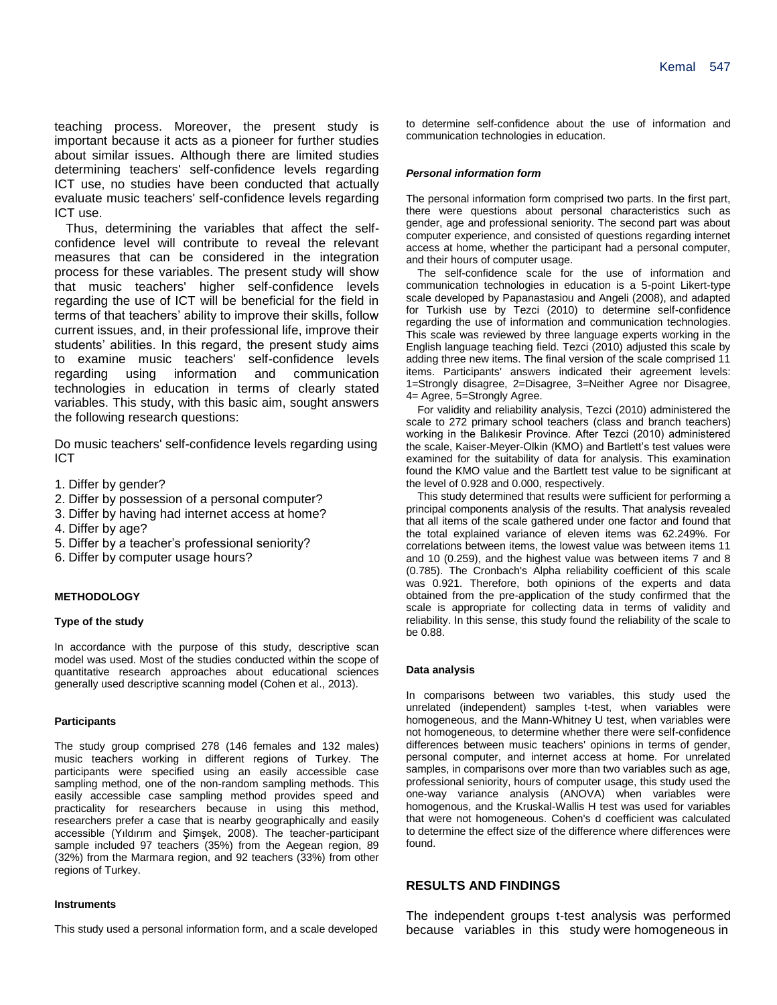teaching process. Moreover, the present study is important because it acts as a pioneer for further studies about similar issues. Although there are limited studies determining teachers' self-confidence levels regarding ICT use, no studies have been conducted that actually evaluate music teachers' self-confidence levels regarding ICT use.

Thus, determining the variables that affect the selfconfidence level will contribute to reveal the relevant measures that can be considered in the integration process for these variables. The present study will show that music teachers' higher self-confidence levels regarding the use of ICT will be beneficial for the field in terms of that teachers' ability to improve their skills, follow current issues, and, in their professional life, improve their students' abilities. In this regard, the present study aims to examine music teachers' self-confidence levels regarding using information and communication technologies in education in terms of clearly stated variables. This study, with this basic aim, sought answers the following research questions:

Do music teachers' self-confidence levels regarding using ICT

- 1. Differ by gender?
- 2. Differ by possession of a personal computer?
- 3. Differ by having had internet access at home?
- 4. Differ by age?
- 5. Differ by a teacher's professional seniority?
- 6. Differ by computer usage hours?

#### **METHODOLOGY**

#### **Type of the study**

In accordance with the purpose of this study, descriptive scan model was used. Most of the studies conducted within the scope of quantitative research approaches about educational sciences generally used descriptive scanning model (Cohen et al., 2013).

#### **Participants**

The study group comprised 278 (146 females and 132 males) music teachers working in different regions of Turkey. The participants were specified using an easily accessible case sampling method, one of the non-random sampling methods. This easily accessible case sampling method provides speed and practicality for researchers because in using this method, researchers prefer a case that is nearby geographically and easily accessible (Yıldırım and Şimşek, 2008). The teacher-participant sample included 97 teachers (35%) from the Aegean region, 89 (32%) from the Marmara region, and 92 teachers (33%) from other regions of Turkey.

#### **Instruments**

This study used a personal information form, and a scale developed

to determine self-confidence about the use of information and communication technologies in education.

#### *Personal information form*

The personal information form comprised two parts. In the first part, there were questions about personal characteristics such as gender, age and professional seniority. The second part was about computer experience, and consisted of questions regarding internet access at home, whether the participant had a personal computer, and their hours of computer usage.

The self-confidence scale for the use of information and communication technologies in education is a 5-point Likert-type scale developed by Papanastasiou and Angeli (2008), and adapted for Turkish use by Tezci (2010) to determine self-confidence regarding the use of information and communication technologies. This scale was reviewed by three language experts working in the English language teaching field. Tezci (2010) adjusted this scale by adding three new items. The final version of the scale comprised 11 items. Participants' answers indicated their agreement levels: 1=Strongly disagree, 2=Disagree, 3=Neither Agree nor Disagree, 4= Agree, 5=Strongly Agree.

For validity and reliability analysis, Tezci (2010) administered the scale to 272 primary school teachers (class and branch teachers) working in the Balıkesir Province. After Tezci (2010) administered the scale, Kaiser-Meyer-Olkin (KMO) and Bartlett's test values were examined for the suitability of data for analysis. This examination found the KMO value and the Bartlett test value to be significant at the level of 0.928 and 0.000, respectively.

This study determined that results were sufficient for performing a principal components analysis of the results. That analysis revealed that all items of the scale gathered under one factor and found that the total explained variance of eleven items was 62.249%. For correlations between items, the lowest value was between items 11 and 10 (0.259), and the highest value was between items 7 and 8 (0.785). The Cronbach's Alpha reliability coefficient of this scale was 0.921. Therefore, both opinions of the experts and data obtained from the pre-application of the study confirmed that the scale is appropriate for collecting data in terms of validity and reliability. In this sense, this study found the reliability of the scale to be 0.88.

#### **Data analysis**

In comparisons between two variables, this study used the unrelated (independent) samples t-test, when variables were homogeneous, and the Mann-Whitney U test, when variables were not homogeneous, to determine whether there were self-confidence differences between music teachers' opinions in terms of gender, personal computer, and internet access at home. For unrelated samples, in comparisons over more than two variables such as age, professional seniority, hours of computer usage, this study used the one-way variance analysis (ANOVA) when variables were homogenous, and the Kruskal-Wallis H test was used for variables that were not homogeneous. Cohen's d coefficient was calculated to determine the effect size of the difference where differences were found.

## **RESULTS AND FINDINGS**

The independent groups t-test analysis was performed because variables in this study were homogeneous in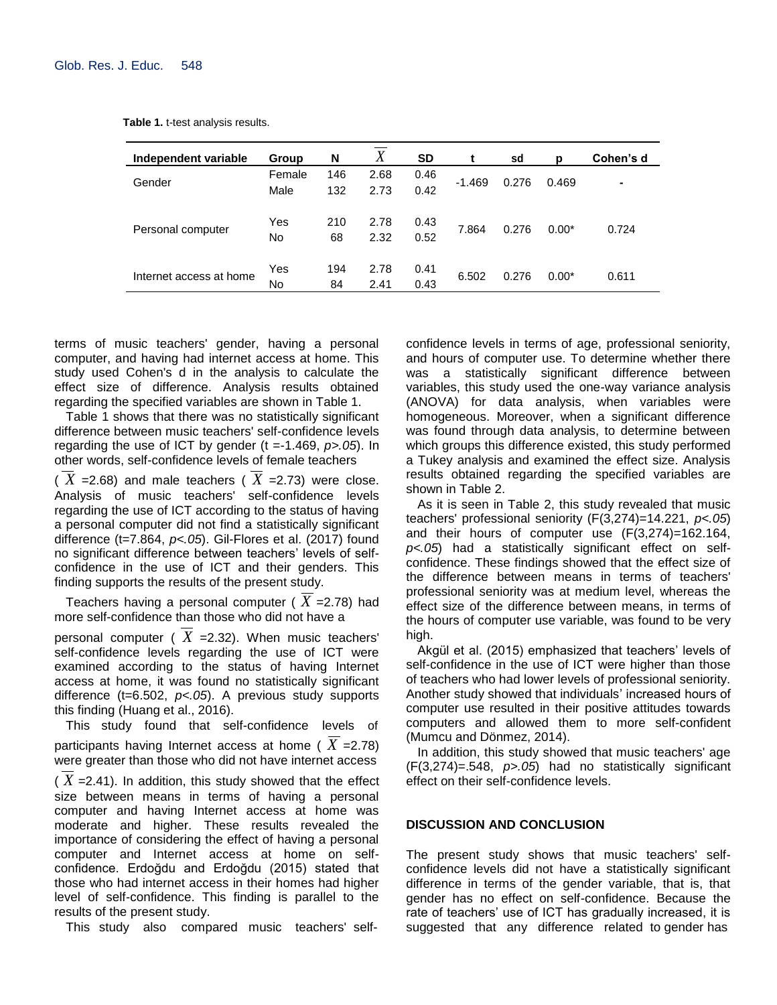| Independent variable    | Group     | N         | X            | <b>SD</b>    | t        | sd    | p       | Cohen's d |  |
|-------------------------|-----------|-----------|--------------|--------------|----------|-------|---------|-----------|--|
| Gender                  | Female    | 146       | 2.68         | 0.46         | $-1.469$ | 0.276 | 0.469   | ۰.        |  |
|                         | Male      | 132       | 2.73         | 0.42         |          |       |         |           |  |
| Personal computer       | Yes<br>No | 210<br>68 | 2.78<br>2.32 | 0.43<br>0.52 | 7.864    | 0.276 | $0.00*$ | 0.724     |  |
| Internet access at home | Yes<br>No | 194<br>84 | 2.78<br>2.41 | 0.41<br>0.43 | 6.502    | 0.276 | $0.00*$ | 0.611     |  |

**Table 1.** t-test analysis results.

terms of music teachers' gender, having a personal computer, and having had internet access at home. This study used Cohen's d in the analysis to calculate the effect size of difference. Analysis results obtained regarding the specified variables are shown in Table 1.

Table 1 shows that there was no statistically significant difference between music teachers' self-confidence levels regarding the use of ICT by gender (t =-1.469, *p>.05*). In other words, self-confidence levels of female teachers

 $(X = 2.68)$  and male teachers  $(X = 2.73)$  were close. Analysis of music teachers' self-confidence levels regarding the use of ICT according to the status of having a personal computer did not find a statistically significant difference (t=7.864, *p<.05*). Gil-Flores et al. (2017) found no significant difference between teachers' levels of selfconfidence in the use of ICT and their genders. This finding supports the results of the present study.

Teachers having a personal computer ( $X = 2.78$ ) had more self-confidence than those who did not have a

personal computer ( $X = 2.32$ ). When music teachers' self-confidence levels regarding the use of ICT were examined according to the status of having Internet access at home, it was found no statistically significant difference (t=6.502, *p<.05*). A previous study supports this finding (Huang et al., 2016).

This study found that self-confidence levels of participants having Internet access at home ( $X = 2.78$ ) were greater than those who did not have internet access  $(X = 2.41)$ . In addition, this study showed that the effect size between means in terms of having a personal computer and having Internet access at home was moderate and higher. These results revealed the importance of considering the effect of having a personal computer and Internet access at home on selfconfidence. Erdoğdu and Erdoğdu (2015) stated that those who had internet access in their homes had higher level of self-confidence. This finding is parallel to the results of the present study.

This study also compared music teachers' self-

confidence levels in terms of age, professional seniority, and hours of computer use. To determine whether there was a statistically significant difference between variables, this study used the one-way variance analysis (ANOVA) for data analysis, when variables were homogeneous. Moreover, when a significant difference was found through data analysis, to determine between which groups this difference existed, this study performed a Tukey analysis and examined the effect size. Analysis results obtained regarding the specified variables are shown in Table 2.

As it is seen in Table 2, this study revealed that music teachers' professional seniority (F(3,274)=14.221, *p<.05*) and their hours of computer use (F(3,274)=162.164, *p<.05*) had a statistically significant effect on selfconfidence. These findings showed that the effect size of the difference between means in terms of teachers' professional seniority was at medium level, whereas the effect size of the difference between means, in terms of the hours of computer use variable, was found to be very high.

Akgül et al. (2015) emphasized that teachers' levels of self-confidence in the use of ICT were higher than those of teachers who had lower levels of professional seniority. Another study showed that individuals' increased hours of computer use resulted in their positive attitudes towards computers and allowed them to more self-confident (Mumcu and Dönmez, 2014).

In addition, this study showed that music teachers' age (F(3,274)=.548, *p>.05*) had no statistically significant effect on their self-confidence levels.

## **DISCUSSION AND CONCLUSION**

The present study shows that music teachers' selfconfidence levels did not have a statistically significant difference in terms of the gender variable, that is, that gender has no effect on self-confidence. Because the rate of teachers' use of ICT has gradually increased, it is suggested that any difference related to gender has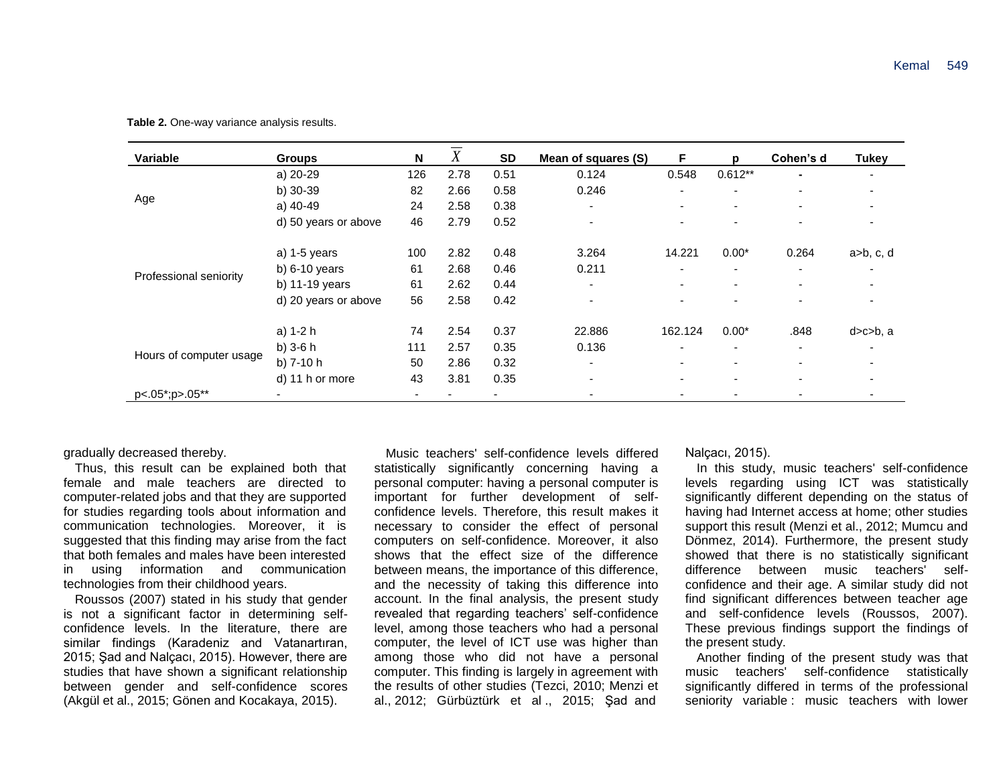| Variable                | <b>Groups</b>        | N   | $\boldsymbol{X}$ | <b>SD</b> | Mean of squares (S)      | F                        | р                        | Cohen's d      | <b>Tukey</b>    |
|-------------------------|----------------------|-----|------------------|-----------|--------------------------|--------------------------|--------------------------|----------------|-----------------|
| Age                     | a) 20-29             | 126 | 2.78             | 0.51      | 0.124                    | 0.548                    | $0.612**$                |                |                 |
|                         | $b)$ 30-39           | 82  | 2.66             | 0.58      | 0.246                    | ٠                        | $\overline{\phantom{a}}$ |                |                 |
|                         | a) 40-49             | 24  | 2.58             | 0.38      | $\overline{\phantom{a}}$ | $\blacksquare$           | $\overline{\phantom{a}}$ |                |                 |
|                         | d) 50 years or above | 46  | 2.79             | 0.52      | $\blacksquare$           | $\blacksquare$           | $\overline{\phantom{a}}$ |                |                 |
| Professional seniority  | a) 1-5 years         | 100 | 2.82             | 0.48      | 3.264                    | 14.221                   | $0.00*$                  | 0.264          | a>b, c, d       |
|                         | b) $6-10$ years      | 61  | 2.68             | 0.46      | 0.211                    | $\blacksquare$           | $\overline{\phantom{a}}$ |                |                 |
|                         | b) $11-19$ years     | 61  | 2.62             | 0.44      | $\blacksquare$           | $\overline{\phantom{a}}$ | $\blacksquare$           | $\overline{a}$ | ۰               |
|                         | d) 20 years or above | 56  | 2.58             | 0.42      |                          | $\blacksquare$           |                          |                |                 |
| Hours of computer usage | a) 1-2 h             | 74  | 2.54             | 0.37      | 22.886                   | 162.124                  | $0.00*$                  | .848           | $d > c > b$ , a |
|                         | b) $3-6h$            | 111 | 2.57             | 0.35      | 0.136                    | $\overline{\phantom{a}}$ | $\blacksquare$           | ۰.             |                 |
|                         | b) 7-10 h            | 50  | 2.86             | 0.32      |                          | $\blacksquare$           | $\overline{\phantom{a}}$ |                |                 |
|                         | d) 11 h or more      | 43  | 3.81             | 0.35      | $\blacksquare$           | $\blacksquare$           | $\overline{\phantom{a}}$ |                |                 |
| p<.05*;p>.05**          |                      |     |                  |           |                          |                          |                          |                |                 |

**Table 2.** One-way variance analysis results.

gradually decreased thereby.

Thus, this result can be explained both that female and male teachers are directed to computer-related jobs and that they are supported for studies regarding tools about information and communication technologies. Moreover, it is suggested that this finding may arise from the fact that both females and males have been interested in using information and communication technologies from their childhood years.

Roussos (2007) stated in his study that gender is not a significant factor in determining selfconfidence levels. In the literature, there are similar findings (Karadeniz and Vatanartıran, 2015; Şad and Nalçacı, 2015). However, there are studies that have shown a significant relationship between gender and self-confidence scores (Akgül et al., 2015; Gönen and Kocakaya, 2015).

Music teachers' self-confidence levels differed statistically significantly concerning having a personal computer: having a personal computer is important for further development of selfconfidence levels. Therefore, this result makes it necessary to consider the effect of personal computers on self-confidence. Moreover, it also shows that the effect size of the difference between means, the importance of this difference, and the necessity of taking this difference into account. In the final analysis, the present study revealed that regarding teachers' self-confidence level, among those teachers who had a personal computer, the level of ICT use was higher than among those who did not have a personal computer. This finding is largely in agreement with the results of other studies (Tezci, 2010; Menzi et al., 2012; Gürbüztürk et al ., 2015; Şad and

Nalçacı, 2015).

In this study, music teachers' self-confidence levels regarding using ICT was statistically significantly different depending on the status of having had Internet access at home; other studies support this result (Menzi et al., 2012; Mumcu and Dönmez, 2014). Furthermore, the present study showed that there is no statistically significant difference between music teachers' selfconfidence and their age. A similar study did not find significant differences between teacher age and self-confidence levels (Roussos, 2007). These previous findings support the findings of the present study.

Another finding of the present study was that music teachers' self-confidence statistically significantly differed in terms of the professional seniority variable : music teachers with lower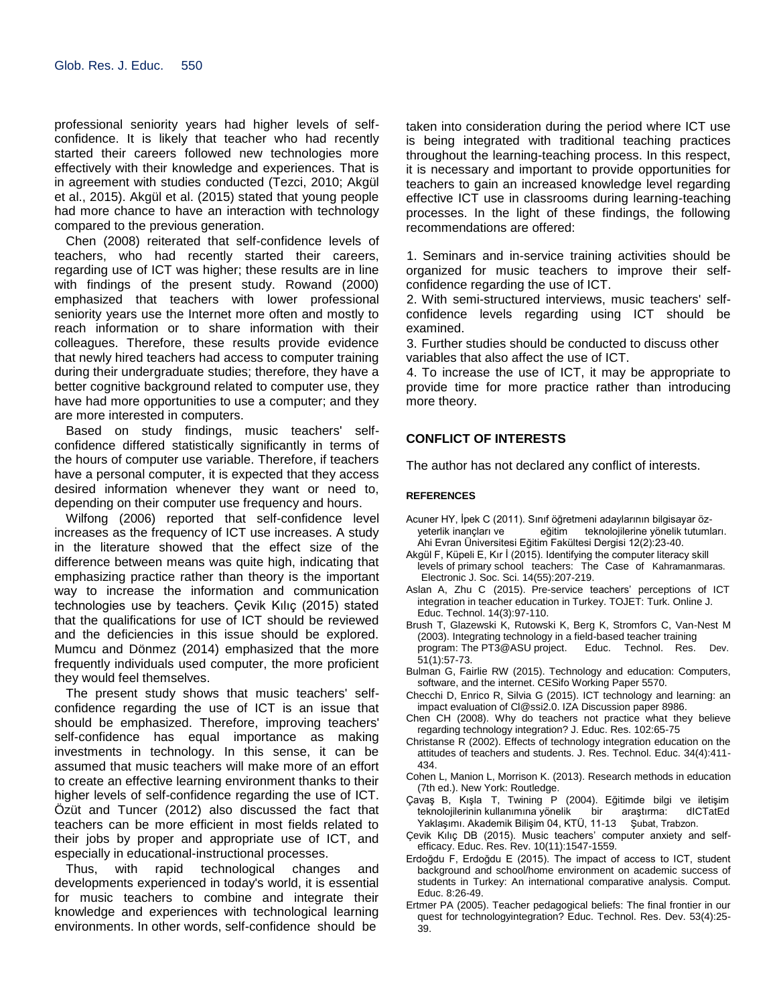professional seniority years had higher levels of selfconfidence. It is likely that teacher who had recently started their careers followed new technologies more effectively with their knowledge and experiences. That is in agreement with studies conducted (Tezci, 2010; Akgül et al., 2015). Akgül et al. (2015) stated that young people had more chance to have an interaction with technology compared to the previous generation.

Chen (2008) reiterated that self-confidence levels of teachers, who had recently started their careers, regarding use of ICT was higher; these results are in line with findings of the present study. Rowand (2000) emphasized that teachers with lower professional seniority years use the Internet more often and mostly to reach information or to share information with their colleagues. Therefore, these results provide evidence that newly hired teachers had access to computer training during their undergraduate studies; therefore, they have a better cognitive background related to computer use, they have had more opportunities to use a computer; and they are more interested in computers.

Based on study findings, music teachers' selfconfidence differed statistically significantly in terms of the hours of computer use variable. Therefore, if teachers have a personal computer, it is expected that they access desired information whenever they want or need to, depending on their computer use frequency and hours.

Wilfong (2006) reported that self-confidence level increases as the frequency of ICT use increases. A study in the literature showed that the effect size of the difference between means was quite high, indicating that emphasizing practice rather than theory is the important way to increase the information and communication technologies use by teachers. Çevik Kılıç (2015) stated that the qualifications for use of ICT should be reviewed and the deficiencies in this issue should be explored. Mumcu and Dönmez (2014) emphasized that the more frequently individuals used computer, the more proficient they would feel themselves.

The present study shows that music teachers' selfconfidence regarding the use of ICT is an issue that should be emphasized. Therefore, improving teachers' self-confidence has equal importance as making investments in technology. In this sense, it can be assumed that music teachers will make more of an effort to create an effective learning environment thanks to their higher levels of self-confidence regarding the use of ICT. Özüt and Tuncer (2012) also discussed the fact that teachers can be more efficient in most fields related to their jobs by proper and appropriate use of ICT, and especially in educational-instructional processes.

Thus, with rapid technological changes and developments experienced in today's world, it is essential for music teachers to combine and integrate their knowledge and experiences with technological learning environments. In other words, self-confidence should be

taken into consideration during the period where ICT use is being integrated with traditional teaching practices throughout the learning-teaching process. In this respect, it is necessary and important to provide opportunities for teachers to gain an increased knowledge level regarding effective ICT use in classrooms during learning-teaching processes. In the light of these findings, the following recommendations are offered:

1. Seminars and in-service training activities should be organized for music teachers to improve their selfconfidence regarding the use of ICT.

2. With semi-structured interviews, music teachers' selfconfidence levels regarding using ICT should be examined.

3. Further studies should be conducted to discuss other variables that also affect the use of ICT.

4. To increase the use of ICT, it may be appropriate to provide time for more practice rather than introducing more theory.

## **CONFLICT OF INTERESTS**

The author has not declared any conflict of interests.

#### **REFERENCES**

- Acuner HY, İpek C (2011). Sınıf öğretmeni adaylarının bilgisayar özyeterlik inançları ve eğitim teknolojilerine yönelik tutumları. Ahi Evran Üniversitesi Eğitim Fakültesi Dergisi 12(2):23-40.
- Akgül F, Küpeli E, Kır İ (2015). Identifying the computer literacy skill levels of primary school teachers: The Case of Kahramanmaras. Electronic J. Soc. Sci. 14(55):207-219.
- Aslan A, Zhu C (2015). Pre-service teachers' perceptions of ICT integration in teacher education in Turkey. TOJET: Turk. Online J. Educ. Technol. 14(3):97-110.
- Brush T, Glazewski K, Rutowski K, Berg K, Stromfors C, Van-Nest M (2003). Integrating technology in a field-based teacher training program: The PT3@ASU project. Educ. Technol. Res. Dev. 51(1):57-73.
- Bulman G, Fairlie RW (2015). Technology and education: Computers, software, and the internet. CESifo Working Paper 5570.
- Checchi D, Enrico R, Silvia G (2015). ICT technology and learning: an impact evaluation of Cl@ssi2.0. IZA Discussion paper 8986.
- Chen CH (2008). Why do teachers not practice what they believe regarding technology integration? J. Educ. Res. 102:65-75
- Christanse R (2002). Effects of technology integration education on the attitudes of teachers and students. J. Res. Technol. Educ. 34(4):411- 434.
- Cohen L, Manion L, Morrison K. (2013). Research methods in education (7th ed.). New York: Routledge.
- Çavaş B, Kışla T, Twining P (2004). Eğitimde bilgi ve iletişim<br>6 teknolojilerinin kullanımına yönelik bir arastırma: dICTatEd teknolojilerinin kullanımına yönelik Yaklaşımı. Akademik Bilişim 04, KTÜ, 11-13 Şubat, Trabzon.
- Çevik Kılıç DB (2015). Music teachers' computer anxiety and selfefficacy. Educ. Res. Rev. 10(11):1547-1559.
- Erdoğdu F, Erdoğdu E (2015). The impact of access to ICT, student background and school/home environment on academic success of students in Turkey: An international comparative analysis. Comput. Educ. 8:26-49.
- Ertmer PA (2005). Teacher pedagogical beliefs: The final frontier in our quest for technologyintegration? Educ. Technol. Res. Dev. 53(4):25- 39.